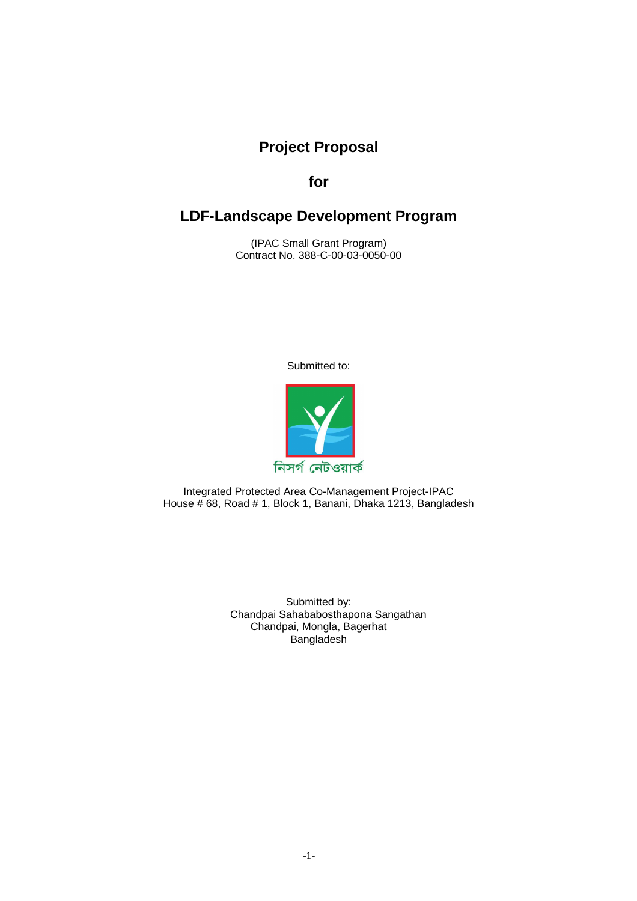**Project Proposal** 

**for** 

# **LDF-Landscape Development Program**

(IPAC Small Grant Program) Contract No. 388-C-00-03-0050-00

Submitted to:



Integrated Protected Area Co-Management Project-IPAC House # 68, Road # 1, Block 1, Banani, Dhaka 1213, Bangladesh

> Submitted by: Chandpai Sahababosthapona Sangathan Chandpai, Mongla, Bagerhat Bangladesh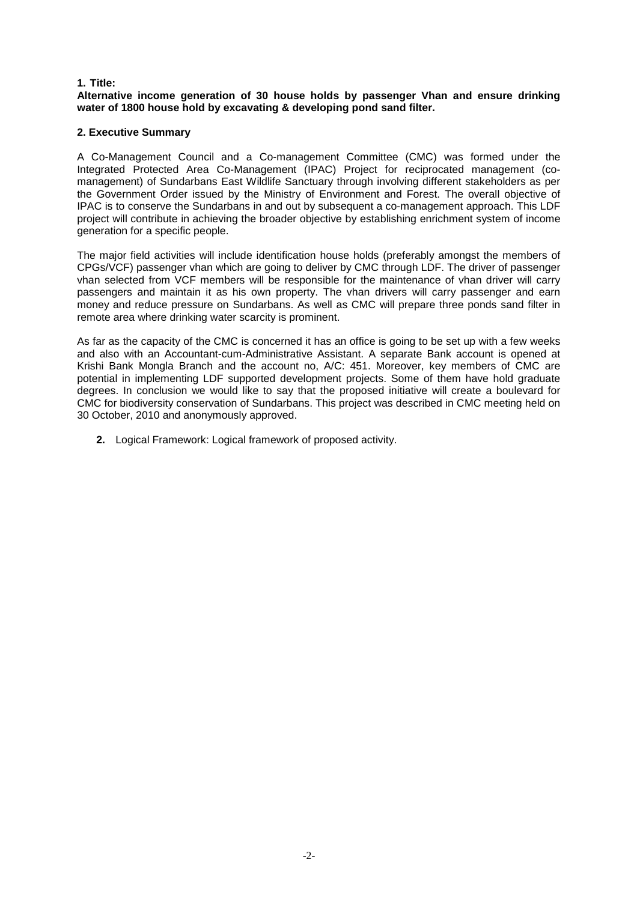## **1. Title:**

## **Alternative income generation of 30 house holds by passenger Vhan and ensure drinking water of 1800 house hold by excavating & developing pond sand filter.**

## **2. Executive Summary**

A Co-Management Council and a Co-management Committee (CMC) was formed under the Integrated Protected Area Co-Management (IPAC) Project for reciprocated management (comanagement) of Sundarbans East Wildlife Sanctuary through involving different stakeholders as per the Government Order issued by the Ministry of Environment and Forest. The overall objective of IPAC is to conserve the Sundarbans in and out by subsequent a co-management approach. This LDF project will contribute in achieving the broader objective by establishing enrichment system of income generation for a specific people.

The major field activities will include identification house holds (preferably amongst the members of CPGs/VCF) passenger vhan which are going to deliver by CMC through LDF. The driver of passenger vhan selected from VCF members will be responsible for the maintenance of vhan driver will carry passengers and maintain it as his own property. The vhan drivers will carry passenger and earn money and reduce pressure on Sundarbans. As well as CMC will prepare three ponds sand filter in remote area where drinking water scarcity is prominent.

As far as the capacity of the CMC is concerned it has an office is going to be set up with a few weeks and also with an Accountant-cum-Administrative Assistant. A separate Bank account is opened at Krishi Bank Mongla Branch and the account no, A/C: 451. Moreover, key members of CMC are potential in implementing LDF supported development projects. Some of them have hold graduate degrees. In conclusion we would like to say that the proposed initiative will create a boulevard for CMC for biodiversity conservation of Sundarbans. This project was described in CMC meeting held on 30 October, 2010 and anonymously approved.

**2.** Logical Framework: Logical framework of proposed activity.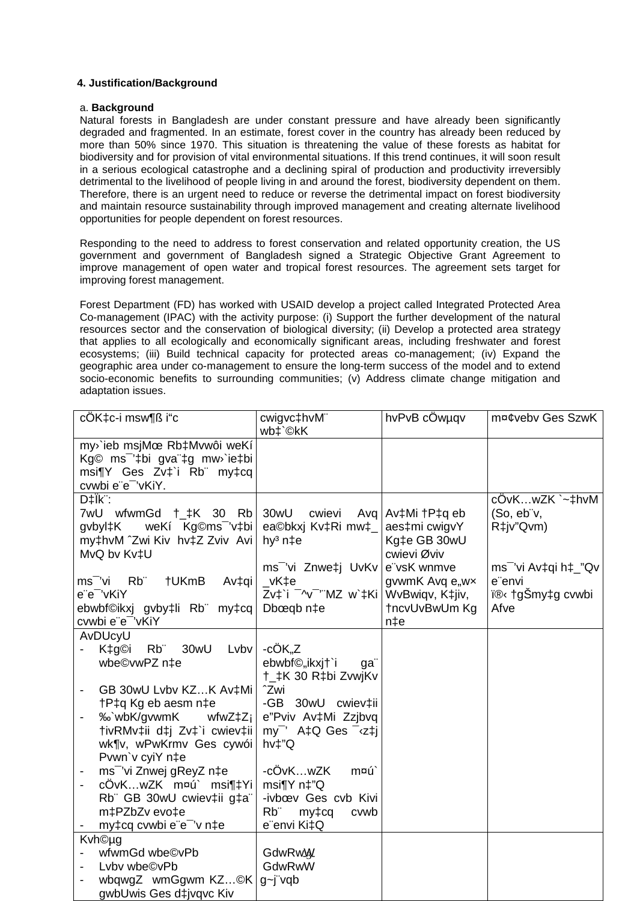## **4. Justification/Background**

#### a. **Background**

Natural forests in Bangladesh are under constant pressure and have already been significantly degraded and fragmented. In an estimate, forest cover in the country has already been reduced by more than 50% since 1970. This situation is threatening the value of these forests as habitat for biodiversity and for provision of vital environmental situations. If this trend continues, it will soon result in a serious ecological catastrophe and a declining spiral of production and productivity irreversibly detrimental to the livelihood of people living in and around the forest, biodiversity dependent on them. Therefore, there is an urgent need to reduce or reverse the detrimental impact on forest biodiversity and maintain resource sustainability through improved management and creating alternate livelihood opportunities for people dependent on forest resources.

Responding to the need to address to forest conservation and related opportunity creation, the US government and government of Bangladesh signed a Strategic Objective Grant Agreement to improve management of open water and tropical forest resources. The agreement sets target for improving forest management.

Forest Department (FD) has worked with USAID develop a project called Integrated Protected Area Co-management (IPAC) with the activity purpose: (i) Support the further development of the natural resources sector and the conservation of biological diversity; (ii) Develop a protected area strategy that applies to all ecologically and economically significant areas, including freshwater and forest ecosystems; (iii) Build technical capacity for protected areas co-management; (iv) Expand the geographic area under co-management to ensure the long-term success of the model and to extend socio-economic benefits to surrounding communities: (v) Address climate change mitigation and adaptation issues.

| cÖK‡c-i msw¶ß i"c                                     | cwigvc‡hvM"                                         | hvPvB cÖwµqv        | m¤¢vebv Ges SzwK                 |
|-------------------------------------------------------|-----------------------------------------------------|---------------------|----------------------------------|
|                                                       | wb‡`©kK                                             |                     |                                  |
| my <sup>3</sup> ieb msjMœ Rb‡Mvwôi weKí               |                                                     |                     |                                  |
| Kg© ms <sup>-</sup> '‡bi gva"‡g mw <sup>2</sup> ie‡bi |                                                     |                     |                                  |
| msi¶Y Ges Zv‡`i Rb" my‡cq                             |                                                     |                     |                                  |
| cvwbi e"e" 'vKiY.                                     |                                                     |                     |                                  |
| D‡Ïk":                                                |                                                     |                     | cÖvKwZK`~‡hvM                    |
| 7wU wfwmGd † <sub>+</sub> K 30 Rb                     | 30wU<br>cwievi                                      | Avq   Av‡Mi †P‡q eb | (So, eb"v,                       |
| gvbyl‡K                                               | weKí Kg©ms <sup>-</sup> 'v‡bi  ea©bkxj Kv‡Ri mw‡_   | aes‡mi cwigvY       | R‡jv"Qvm)                        |
| my‡hvM 2wi Kiv hv‡Z Zviv Avi                          | $hy^3$ n‡e                                          | Kg‡e GB 30wU        |                                  |
| MvQ bv Kv‡U                                           |                                                     | cwievi Øviv         |                                  |
|                                                       | ms <sup>-</sup> 'vi Znwe‡j UvKv                     | e"vsK wnmve         | ms <sup>-</sup> 'vi Av‡qi h‡_"Qv |
| Rb¨<br><b>†UKmB</b><br>Av‡qi<br>ms <sup>-</sup> 'vi   | vK‡e                                                | gvwmK Avq e,wx      | e"envi                           |
| e"e" 'vKiY                                            | Zv‡`i - ^v- "MZ w`‡Ki   WvBwiqv, K‡jiv,             |                     | ï®⊆†gŠmy‡g cvwbi                 |
| ebwbf©ikxj gvby‡li Rb my‡cq                           | Dbœqb n‡e                                           | tncvUvBwUm Kg       | Afve                             |
| cvwbi e"e" 'vKiY                                      |                                                     | n‡e                 |                                  |
| AvDUcyU                                               |                                                     |                     |                                  |
| Rb"<br>30wU<br>K‡g©i<br>Lvbv                          | -cÖK"Z                                              |                     |                                  |
| wbe©vwPZ n‡e                                          | ebwbf©"ikxj†`i<br>ga"                               |                     |                                  |
|                                                       | †_‡K 30 R‡bi ZvwjKv                                 |                     |                                  |
| GB 30wU Lvbv KZK Av‡Mi                                | ~Zwi                                                |                     |                                  |
| †P‡q Kg eb aesm n‡e                                   | -GB 30wU cwiev‡ii                                   |                     |                                  |
| ‰`wbK/gvwmK<br>wfwZ‡Z;                                | e"Pviv Av‡Mi Zzjbvq                                 |                     |                                  |
| tivRMv‡ii d‡j Zv‡`i cwiev‡ii                          | my" A‡Q Ges " <z‡i< td=""><td></td><td></td></z‡i<> |                     |                                  |
| wk¶v, wPwKrmv Ges cywói                               | hv <sup>+</sup> "Q                                  |                     |                                  |
| Pvwn'v cyiY n‡e                                       |                                                     |                     |                                  |
| ms <sup>-</sup> 'vi Znwej gReyZ n‡e                   | -cÖvKwZK<br>m¤ú`                                    |                     |                                  |
| cÔvKwZK m¤ú` msi¶‡Yi                                  | msi¶Y n‡"Q                                          |                     |                                  |
| Rb" GB 30wU cwiev‡ii g‡a"                             | -ivbœv Ges cvb Kivi                                 |                     |                                  |
| m‡PZbZv evo‡e                                         | $Rb$ "<br>my‡cq<br>cvwb                             |                     |                                  |
| my‡cq cvwbi e"e" 'v n‡e                               | e"envi Ki‡Q                                         |                     |                                  |
| Kvh©µg                                                |                                                     |                     |                                  |
| wfwmGd wbe©vPb                                        | <b>GdwRwW</b>                                       |                     |                                  |
| Lvbv wbe©vPb                                          | GdwRwW                                              |                     |                                  |
| wbqwgZ wmGgwm KZ©K                                    | $g$ ~j"vqb                                          |                     |                                  |
| gwbUwis Ges d‡jvqvc Kiv                               |                                                     |                     |                                  |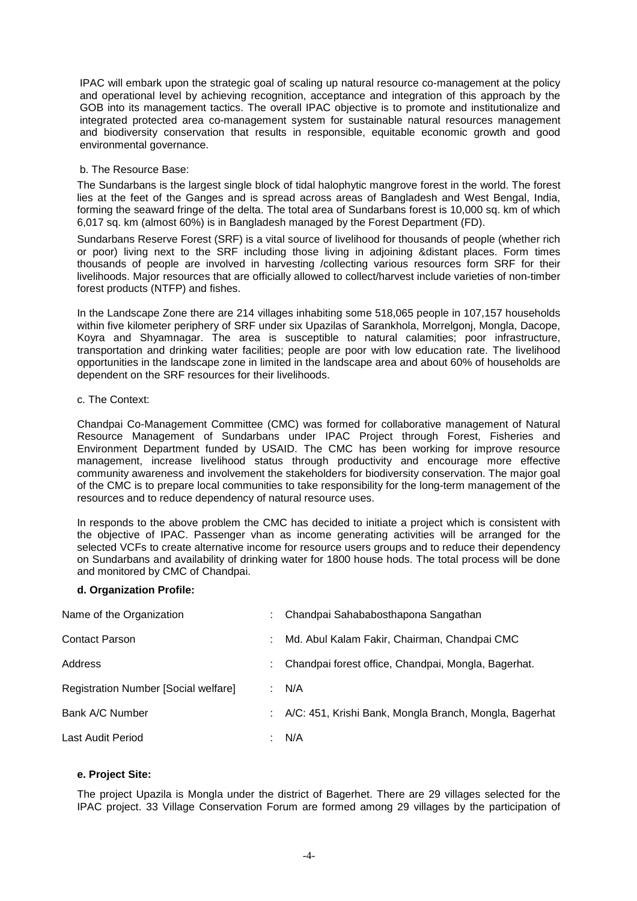IPAC will embark upon the strategic goal of scaling up natural resource co-management at the policy and operational level by achieving recognition, acceptance and integration of this approach by the GOB into its management tactics. The overall IPAC objective is to promote and institutionalize and integrated protected area co-management system for sustainable natural resources management and biodiversity conservation that results in responsible, equitable economic growth and good environmental governance.

## b. The Resource Base:

The Sundarbans is the largest single block of tidal halophytic mangrove forest in the world. The forest lies at the feet of the Ganges and is spread across areas of Bangladesh and West Bengal, India, forming the seaward fringe of the delta. The total area of Sundarbans forest is 10,000 sq. km of which 6,017 sq. km (almost 60%) is in Bangladesh managed by the Forest Department (FD).

Sundarbans Reserve Forest (SRF) is a vital source of livelihood for thousands of people (whether rich or poor) living next to the SRF including those living in adjoining &distant places. Form times thousands of people are involved in harvesting /collecting various resources form SRF for their livelihoods. Major resources that are officially allowed to collect/harvest include varieties of non-timber forest products (NTFP) and fishes.

In the Landscape Zone there are 214 villages inhabiting some 518,065 people in 107,157 households within five kilometer periphery of SRF under six Upazilas of Sarankhola, Morrelgonj, Mongla, Dacope, Koyra and Shyamnagar. The area is susceptible to natural calamities; poor infrastructure, transportation and drinking water facilities; people are poor with low education rate. The livelihood opportunities in the landscape zone in limited in the landscape area and about 60% of households are dependent on the SRF resources for their livelihoods.

## c. The Context:

Chandpai Co-Management Committee (CMC) was formed for collaborative management of Natural Resource Management of Sundarbans under IPAC Project through Forest, Fisheries and Environment Department funded by USAID. The CMC has been working for improve resource management, increase livelihood status through productivity and encourage more effective community awareness and involvement the stakeholders for biodiversity conservation. The major goal of the CMC is to prepare local communities to take responsibility for the long-term management of the resources and to reduce dependency of natural resource uses.

In responds to the above problem the CMC has decided to initiate a project which is consistent with the objective of IPAC. Passenger vhan as income generating activities will be arranged for the selected VCFs to create alternative income for resource users groups and to reduce their dependency on Sundarbans and availability of drinking water for 1800 house hods. The total process will be done and monitored by CMC of Chandpai.

## **d. Organization Profile:**

| Name of the Organization             | Chandpai Sahababosthapona Sangathan                    |
|--------------------------------------|--------------------------------------------------------|
| <b>Contact Parson</b>                | Md. Abul Kalam Fakir, Chairman, Chandpai CMC           |
| Address                              | Chandpai forest office, Chandpai, Mongla, Bagerhat.    |
| Registration Number [Social welfare] | N/A                                                    |
| Bank A/C Number                      | A/C: 451, Krishi Bank, Mongla Branch, Mongla, Bagerhat |
| Last Audit Period                    | N/A                                                    |

## **e. Project Site:**

The project Upazila is Mongla under the district of Bagerhet. There are 29 villages selected for the IPAC project. 33 Village Conservation Forum are formed among 29 villages by the participation of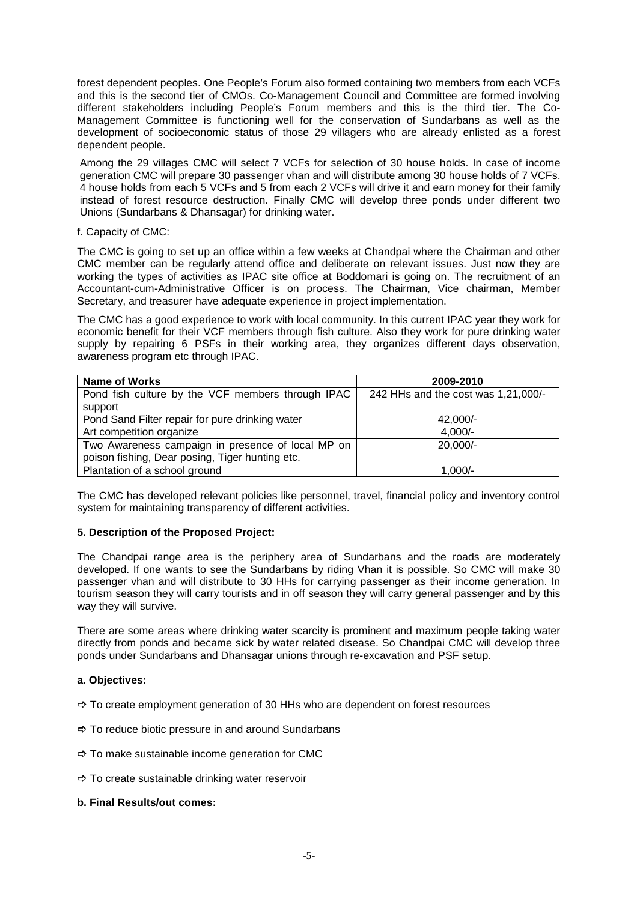forest dependent peoples. One People's Forum also formed containing two members from each VCFs and this is the second tier of CMOs. Co-Management Council and Committee are formed involving different stakeholders including People's Forum members and this is the third tier. The Co-Management Committee is functioning well for the conservation of Sundarbans as well as the development of socioeconomic status of those 29 villagers who are already enlisted as a forest dependent people.

Among the 29 villages CMC will select 7 VCFs for selection of 30 house holds. In case of income generation CMC will prepare 30 passenger vhan and will distribute among 30 house holds of 7 VCFs. 4 house holds from each 5 VCFs and 5 from each 2 VCFs will drive it and earn money for their family instead of forest resource destruction. Finally CMC will develop three ponds under different two Unions (Sundarbans & Dhansagar) for drinking water.

#### f. Capacity of CMC:

The CMC is going to set up an office within a few weeks at Chandpai where the Chairman and other CMC member can be regularly attend office and deliberate on relevant issues. Just now they are working the types of activities as IPAC site office at Boddomari is going on. The recruitment of an Accountant-cum-Administrative Officer is on process. The Chairman, Vice chairman, Member Secretary, and treasurer have adequate experience in project implementation.

The CMC has a good experience to work with local community. In this current IPAC year they work for economic benefit for their VCF members through fish culture. Also they work for pure drinking water supply by repairing 6 PSFs in their working area, they organizes different days observation, awareness program etc through IPAC.

| <b>Name of Works</b>                              | 2009-2010                           |
|---------------------------------------------------|-------------------------------------|
| Pond fish culture by the VCF members through IPAC | 242 HHs and the cost was 1,21,000/- |
| support                                           |                                     |
| Pond Sand Filter repair for pure drinking water   | 42,000/-                            |
| Art competition organize                          | $4,000/-$                           |
| Two Awareness campaign in presence of local MP on | 20,000/-                            |
| poison fishing, Dear posing, Tiger hunting etc.   |                                     |
| Plantation of a school ground                     | $1,000/-$                           |

The CMC has developed relevant policies like personnel, travel, financial policy and inventory control system for maintaining transparency of different activities.

## **5. Description of the Proposed Project:**

The Chandpai range area is the periphery area of Sundarbans and the roads are moderately developed. If one wants to see the Sundarbans by riding Vhan it is possible. So CMC will make 30 passenger vhan and will distribute to 30 HHs for carrying passenger as their income generation. In tourism season they will carry tourists and in off season they will carry general passenger and by this way they will survive.

There are some areas where drinking water scarcity is prominent and maximum people taking water directly from ponds and became sick by water related disease. So Chandpai CMC will develop three ponds under Sundarbans and Dhansagar unions through re-excavation and PSF setup.

## **a. Objectives:**

- $\Rightarrow$  To create employment generation of 30 HHs who are dependent on forest resources
- $\Rightarrow$  To reduce biotic pressure in and around Sundarbans
- $\Rightarrow$  To make sustainable income generation for CMC
- $\Rightarrow$  To create sustainable drinking water reservoir
- **b. Final Results/out comes:**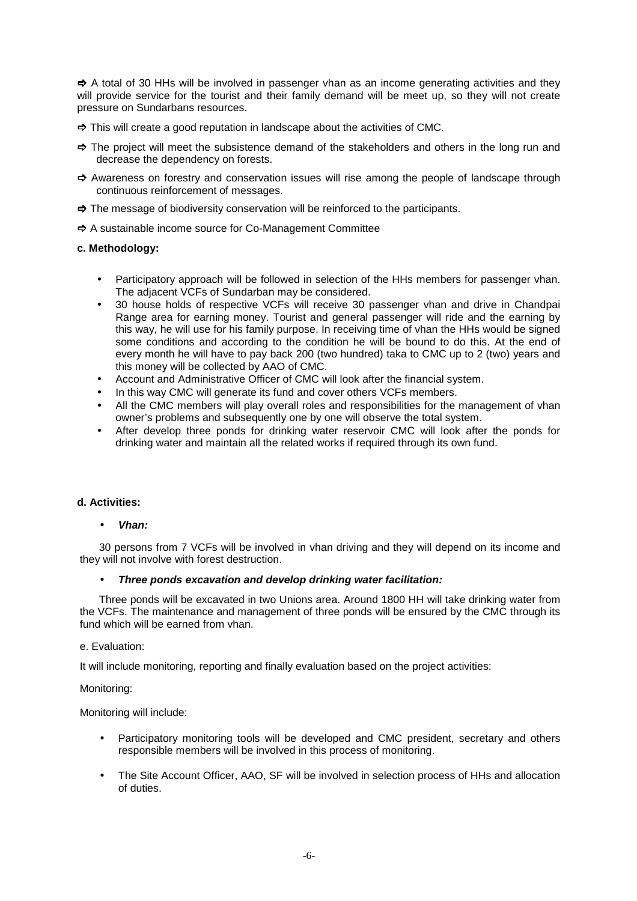$\Rightarrow$  A total of 30 HHs will be involved in passenger vhan as an income generating activities and they will provide service for the tourist and their family demand will be meet up, so they will not create pressure on Sundarbans resources.

- $\Rightarrow$  This will create a good reputation in landscape about the activities of CMC.
- $\Rightarrow$  The project will meet the subsistence demand of the stakeholders and others in the long run and decrease the dependency on forests.
- Awareness on forestry and conservation issues will rise among the people of landscape through continuous reinforcement of messages.
- $\Rightarrow$  The message of biodiversity conservation will be reinforced to the participants.
- A sustainable income source for Co-Management Committee

## **c. Methodology:**

- Participatory approach will be followed in selection of the HHs members for passenger vhan. The adjacent VCFs of Sundarban may be considered.
- 30 house holds of respective VCFs will receive 30 passenger vhan and drive in Chandpai Range area for earning money. Tourist and general passenger will ride and the earning by this way, he will use for his family purpose. In receiving time of vhan the HHs would be signed some conditions and according to the condition he will be bound to do this. At the end of every month he will have to pay back 200 (two hundred) taka to CMC up to 2 (two) years and this money will be collected by AAO of CMC.
- Account and Administrative Officer of CMC will look after the financial system.
- In this way CMC will generate its fund and cover others VCFs members.
- All the CMC members will play overall roles and responsibilities for the management of yhan owner's problems and subsequently one by one will observe the total system.
- After develop three ponds for drinking water reservoir CMC will look after the ponds for drinking water and maintain all the related works if required through its own fund.

## **d. Activities:**

#### • **Vhan:**

30 persons from 7 VCFs will be involved in vhan driving and they will depend on its income and they will not involve with forest destruction.

## • **Three ponds excavation and develop drinking water facilitation:**

Three ponds will be excavated in two Unions area. Around 1800 HH will take drinking water from the VCFs. The maintenance and management of three ponds will be ensured by the CMC through its fund which will be earned from vhan.

#### e. Evaluation:

It will include monitoring, reporting and finally evaluation based on the project activities:

Monitoring:

Monitoring will include:

- Participatory monitoring tools will be developed and CMC president, secretary and others responsible members will be involved in this process of monitoring.
- The Site Account Officer, AAO, SF will be involved in selection process of HHs and allocation of duties.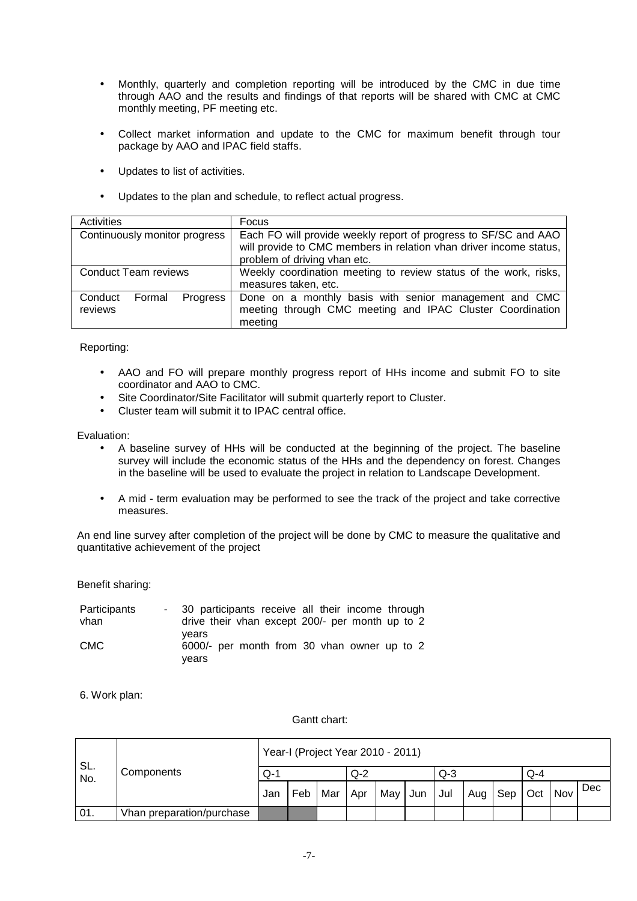- Monthly, quarterly and completion reporting will be introduced by the CMC in due time through AAO and the results and findings of that reports will be shared with CMC at CMC monthly meeting, PF meeting etc.
- Collect market information and update to the CMC for maximum benefit through tour package by AAO and IPAC field staffs.
- Updates to list of activities.
- Updates to the plan and schedule, to reflect actual progress.

| Activities                               | Focus                                                                                                                                                                 |
|------------------------------------------|-----------------------------------------------------------------------------------------------------------------------------------------------------------------------|
| Continuously monitor progress            | Each FO will provide weekly report of progress to SF/SC and AAO<br>will provide to CMC members in relation vhan driver income status,<br>problem of driving vhan etc. |
| <b>Conduct Team reviews</b>              | Weekly coordination meeting to review status of the work, risks,<br>measures taken, etc.                                                                              |
| Conduct<br>Formal<br>Progress<br>reviews | Done on a monthly basis with senior management and CMC<br>meeting through CMC meeting and IPAC Cluster Coordination<br>meeting                                        |

## Reporting:

- AAO and FO will prepare monthly progress report of HHs income and submit FO to site coordinator and AAO to CMC.
- Site Coordinator/Site Facilitator will submit quarterly report to Cluster.
- Cluster team will submit it to IPAC central office.

#### Evaluation:

- A baseline survey of HHs will be conducted at the beginning of the project. The baseline survey will include the economic status of the HHs and the dependency on forest. Changes in the baseline will be used to evaluate the project in relation to Landscape Development.
- A mid term evaluation may be performed to see the track of the project and take corrective measures.

An end line survey after completion of the project will be done by CMC to measure the qualitative and quantitative achievement of the project

Benefit sharing:

| Participants | - 30 participants receive all their income through |
|--------------|----------------------------------------------------|
| vhan         | drive their vhan except 200/- per month up to 2    |
|              | vears                                              |
| CMC          | 6000/- per month from 30 vhan owner up to 2        |
|              | years                                              |

6. Work plan:

Gantt chart:

| ' SL.<br>No. | Components                |     | Year-I (Project Year 2010 - 2011) |     |       |     |     |       |     |     |     |            |     |
|--------------|---------------------------|-----|-----------------------------------|-----|-------|-----|-----|-------|-----|-----|-----|------------|-----|
|              |                           | Q-ʻ |                                   |     | $Q-2$ |     |     | $Q-3$ |     |     | Q-4 |            |     |
|              |                           | Jan | Feb                               | Mar | Apr   | May | Jun | l Jul | Aug | Sep | Oct | <b>Nov</b> | Dec |
| 01.          | Vhan preparation/purchase |     |                                   |     |       |     |     |       |     |     |     |            |     |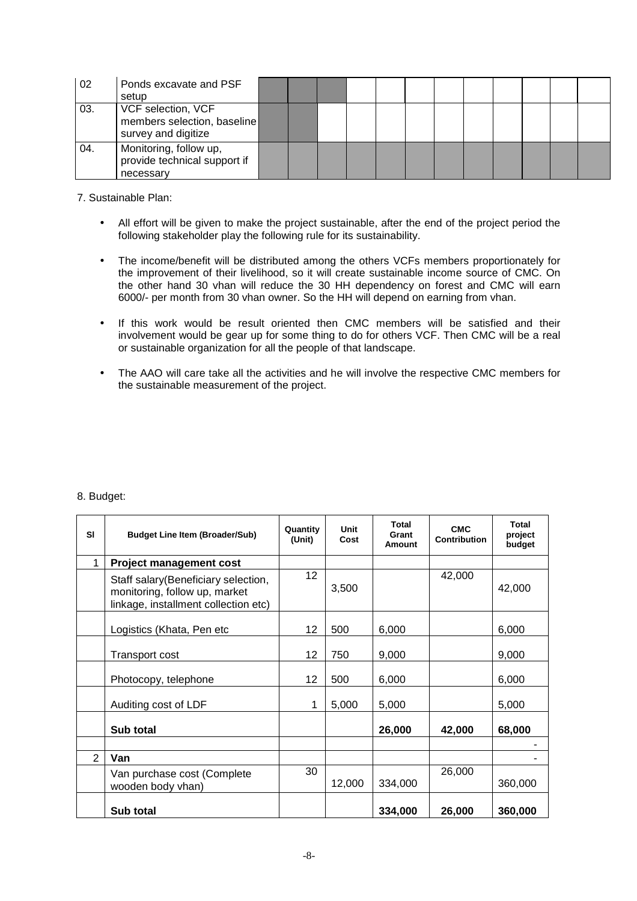| 02  | Ponds excavate and PSF<br>setup                                          |  |  |  |  |  |  |
|-----|--------------------------------------------------------------------------|--|--|--|--|--|--|
| 03. | VCF selection, VCF<br>members selection, baseline<br>survey and digitize |  |  |  |  |  |  |
| 04. | Monitoring, follow up,<br>provide technical support if<br>necessary      |  |  |  |  |  |  |

7. Sustainable Plan:

- All effort will be given to make the project sustainable, after the end of the project period the following stakeholder play the following rule for its sustainability.
- The income/benefit will be distributed among the others VCFs members proportionately for the improvement of their livelihood, so it will create sustainable income source of CMC. On the other hand 30 vhan will reduce the 30 HH dependency on forest and CMC will earn 6000/- per month from 30 vhan owner. So the HH will depend on earning from vhan.
- If this work would be result oriented then CMC members will be satisfied and their involvement would be gear up for some thing to do for others VCF. Then CMC will be a real or sustainable organization for all the people of that landscape.
- The AAO will care take all the activities and he will involve the respective CMC members for the sustainable measurement of the project.

| <b>SI</b>      | <b>Budget Line Item (Broader/Sub)</b>                                                                        | Quantity<br>(Unit) | Unit<br>Cost | Total<br>Grant<br>Amount | <b>CMC</b><br><b>Contribution</b> | Total<br>project<br>budget |
|----------------|--------------------------------------------------------------------------------------------------------------|--------------------|--------------|--------------------------|-----------------------------------|----------------------------|
| 1              | <b>Project management cost</b>                                                                               |                    |              |                          |                                   |                            |
|                | Staff salary(Beneficiary selection,<br>monitoring, follow up, market<br>linkage, installment collection etc) | 12                 | 3,500        |                          | 42,000                            | 42,000                     |
|                | Logistics (Khata, Pen etc                                                                                    | 12                 | 500          | 6,000                    |                                   | 6,000                      |
|                | <b>Transport cost</b>                                                                                        | 12                 | 750          | 9,000                    |                                   | 9,000                      |
|                | Photocopy, telephone                                                                                         | 12                 | 500          | 6,000                    |                                   | 6,000                      |
|                | Auditing cost of LDF                                                                                         | 1                  | 5,000        | 5,000                    |                                   | 5,000                      |
|                | Sub total                                                                                                    |                    |              | 26,000                   | 42,000                            | 68,000                     |
|                |                                                                                                              |                    |              |                          |                                   |                            |
| $\overline{2}$ | Van                                                                                                          |                    |              |                          |                                   |                            |
|                | Van purchase cost (Complete<br>wooden body vhan)                                                             | 30                 | 12,000       | 334,000                  | 26,000                            | 360,000                    |
|                | Sub total                                                                                                    |                    |              | 334,000                  | 26,000                            | 360,000                    |

# 8. Budget: